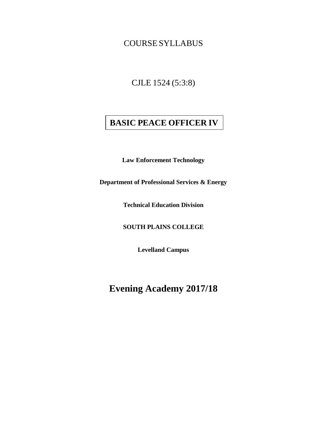# COURSE SYLLABUS

CJLE 1524 (5:3:8)

# **BASIC PEACE OFFICER IV**

**Law Enforcement Technology** 

**Department of Professional Services & Energy**

**Technical Education Division** 

**SOUTH PLAINS COLLEGE**

**Levelland Campus**

**Evening Academy 2017/18**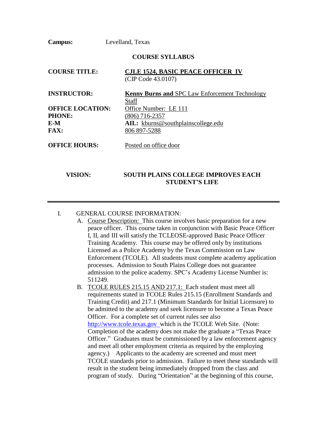**Campus:** Levelland, Texas

#### **COURSE SYLLABUS**

| <b>COURSE TITLE:</b>    | <b>CJLE 1524, BASIC PEACE OFFICER IV</b><br>(CIP Code 43.0107) |
|-------------------------|----------------------------------------------------------------|
| <b>INSTRUCTOR:</b>      | <b>Kenny Burns and SPC Law Enforcement Technology</b>          |
|                         | Staff                                                          |
| <b>OFFICE LOCATION:</b> | Office Number: LE 111                                          |
| PHONE:                  | $(806)$ 716-2357                                               |
| E-M                     | AIL: kburns@southplainscollege.edu                             |
| <b>FAX:</b>             | 806 897-5288                                                   |
| <b>OFFICE HOURS:</b>    | Posted on office door                                          |

## **VISION: SOUTH PLAINS COLLEGE IMPROVES EACH STUDENT'S LIFE**

### I. GENERAL COURSE INFORMATION:

- A. Course Description: This course involves basic preparation for a new peace officer. This course taken in conjunction with Basic Peace Officer I, II, and III will satisfy the TCLEOSE-approved Basic Peace Officer Training Academy. This course may be offered only by institutions Licensed as a Police Academy by the Texas Commission on Law Enforcement (TCOLE). All students must complete academy application processes. Admission to South Plains College does not guarantee admission to the police academy. SPC's Academy License Number is: 511249.
- B. TCOLE RULES 215.15 AND 217.1: Each student must meet all requirements stated in TCOLE Rules 215.15 (Enrollment Standards and Training Credit) and 217.1 (Minimum Standards for Initial Licensure) to be admitted to the academy and seek licensure to become a Texas Peace Officer. For a complete set of current rules see also [http://www.tcole.texas.gov w](http://www.tcole.texas.gov/)hich is the TCOLE Web Site. (Note: Completion of the academy does not make the graduate a "Texas Peace Officer." Graduates must be commissioned by a law enforcement agency and meet all other employment criteria as required by the employing agency.) Applicants to the academy are screened and must meet TCOLE standards prior to admission. Failure to meet these standards will result in the student being immediately dropped from the class and program of study. During "Orientation" at the beginning of this course,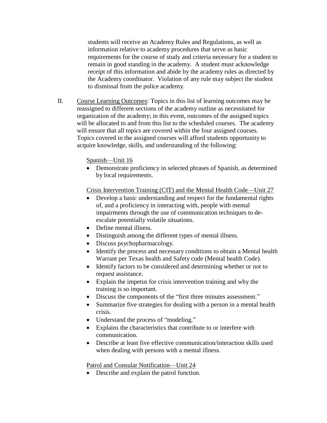students will receive an Academy Rules and Regulations, as well as information relative to academy procedures that serve as basic requirements for the course of study and criteria necessary for a student to remain in good standing in the academy. A student must acknowledge receipt of this information and abide by the academy rules as directed by the Academy coordinator. Violation of any rule may subject the student to dismissal from the police academy.

II. Course Learning Outcomes: Topics in this list of learning outcomes may be reassigned to different sections of the academy outline as necessitated for organization of the academy; in this event, outcomes of the assigned topics will be allocated to and from this list to the scheduled courses. The academy will ensure that all topics are covered within the four assigned courses. Topics covered in the assigned courses will afford students opportunity to acquire knowledge, skills, and understanding of the following:

Spanish—Unit 16

• Demonstrate proficiency in selected phrases of Spanish, as determined by local requirements.

Crisis Intervention Training (CIT) and the Mental Health Code—Unit 27

- Develop a basic understanding and respect for the fundamental rights of, and a proficiency in interacting with, people with mental impairments through the use of communication techniques to deescalate potentially volatile situations.
- Define mental illness.
- Distinguish among the different types of mental illness.
- Discuss psychopharmacology.
- Identify the process and necessary conditions to obtain a Mental health Warrant per Texas health and Safety code (Mental health Code).
- Identify factors to be considered and determining whether or not to request assistance.
- Explain the impetus for crisis intervention training and why the training is so important.
- Discuss the components of the "first three minutes assessment."
- Summarize five strategies for dealing with a person in a mental health crisis.
- Understand the process of "modeling."
- Explains the characteristics that contribute to or interfere with communication.
- Describe at least five effective communication/interaction skills used when dealing with persons with a mental illness.

Patrol and Consular Notification—Unit 24

• Describe and explain the patrol function.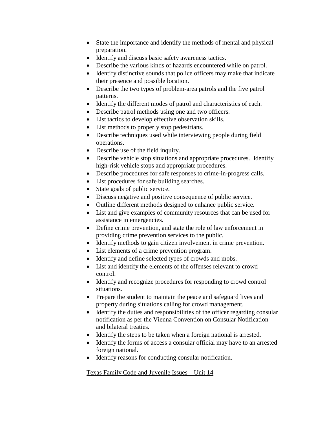- State the importance and identify the methods of mental and physical preparation.
- Identify and discuss basic safety awareness tactics.
- Describe the various kinds of hazards encountered while on patrol.
- Identify distinctive sounds that police officers may make that indicate their presence and possible location.
- Describe the two types of problem-area patrols and the five patrol patterns.
- Identify the different modes of patrol and characteristics of each.
- Describe patrol methods using one and two officers.
- List tactics to develop effective observation skills.
- List methods to properly stop pedestrians.
- Describe techniques used while interviewing people during field operations.
- Describe use of the field inquiry.
- Describe vehicle stop situations and appropriate procedures. Identify high-risk vehicle stops and appropriate procedures.
- Describe procedures for safe responses to crime-in-progress calls.
- List procedures for safe building searches.
- State goals of public service.
- Discuss negative and positive consequence of public service.
- Outline different methods designed to enhance public service.
- List and give examples of community resources that can be used for assistance in emergencies.
- Define crime prevention, and state the role of law enforcement in providing crime prevention services to the public.
- Identify methods to gain citizen involvement in crime prevention.
- List elements of a crime prevention program.
- Identify and define selected types of crowds and mobs.
- List and identify the elements of the offenses relevant to crowd control.
- Identify and recognize procedures for responding to crowd control situations.
- Prepare the student to maintain the peace and safeguard lives and property during situations calling for crowd management.
- Identify the duties and responsibilities of the officer regarding consular notification as per the Vienna Convention on Consular Notification and bilateral treaties.
- Identify the steps to be taken when a foreign national is arrested.
- Identify the forms of access a consular official may have to an arrested foreign national.
- Identify reasons for conducting consular notification.

Texas Family Code and Juvenile Issues—Unit 14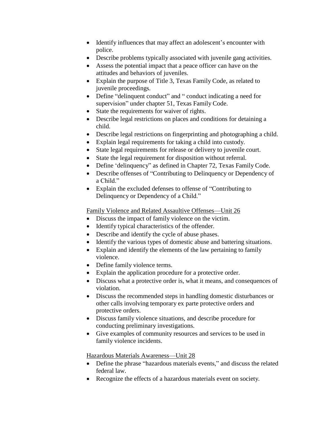- Identify influences that may affect an adolescent's encounter with police.
- Describe problems typically associated with juvenile gang activities.
- Assess the potential impact that a peace officer can have on the attitudes and behaviors of juveniles.
- Explain the purpose of Title 3, Texas Family Code, as related to juvenile proceedings.
- Define "delinquent conduct" and " conduct indicating a need for supervision" under chapter 51, Texas Family Code.
- State the requirements for waiver of rights.
- Describe legal restrictions on places and conditions for detaining a child.
- Describe legal restrictions on fingerprinting and photographing a child.
- Explain legal requirements for taking a child into custody.
- State legal requirements for release or delivery to juvenile court.
- State the legal requirement for disposition without referral.
- Define 'delinquency' as defined in Chapter 72, Texas Family Code.
- Describe offenses of "Contributing to Delinquency or Dependency of a Child."
- Explain the excluded defenses to offense of "Contributing to Delinquency or Dependency of a Child."

Family Violence and Related Assaultive Offenses—Unit 26

- Discuss the impact of family violence on the victim.
- Identify typical characteristics of the offender.
- Describe and identify the cycle of abuse phases.
- Identify the various types of domestic abuse and battering situations.
- Explain and identify the elements of the law pertaining to family violence.
- Define family violence terms.
- Explain the application procedure for a protective order.
- Discuss what a protective order is, what it means, and consequences of violation.
- Discuss the recommended steps in handling domestic disturbances or other calls involving temporary ex parte protective orders and protective orders.
- Discuss family violence situations, and describe procedure for conducting preliminary investigations.
- Give examples of community resources and services to be used in family violence incidents.

Hazardous Materials Awareness—Unit 28

- Define the phrase "hazardous materials events," and discuss the related federal law.
- Recognize the effects of a hazardous materials event on society.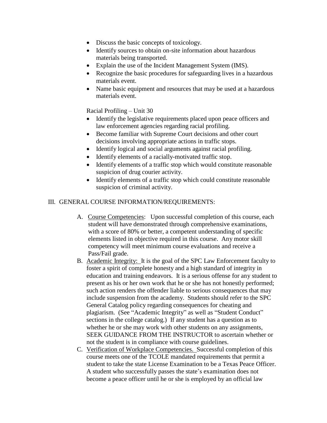- Discuss the basic concepts of toxicology.
- Identify sources to obtain on-site information about hazardous materials being transported.
- Explain the use of the Incident Management System (IMS).
- Recognize the basic procedures for safeguarding lives in a hazardous materials event.
- Name basic equipment and resources that may be used at a hazardous materials event.

Racial Profiling – Unit 30

- Identify the legislative requirements placed upon peace officers and law enforcement agencies regarding racial profiling.
- Become familiar with Supreme Court decisions and other court decisions involving appropriate actions in traffic stops.
- Identify logical and social arguments against racial profiling.
- Identify elements of a racially-motivated traffic stop.
- Identify elements of a traffic stop which would constitute reasonable suspicion of drug courier activity.
- Identify elements of a traffic stop which could constitute reasonable suspicion of criminal activity.

#### III. GENERAL COURSE INFORMATION/REQUIREMENTS:

- A. Course Competencies: Upon successful completion of this course, each student will have demonstrated through comprehensive examinations, with a score of 80% or better, a competent understanding of specific elements listed in objective required in this course. Any motor skill competency will meet minimum course evaluations and receive a Pass/Fail grade.
- B. Academic Integrity: It is the goal of the SPC Law Enforcement faculty to foster a spirit of complete honesty and a high standard of integrity in education and training endeavors. It is a serious offense for any student to present as his or her own work that he or she has not honestly performed; such action renders the offender liable to serious consequences that may include suspension from the academy. Students should refer to the SPC General Catalog policy regarding consequences for cheating and plagiarism. (See "Academic Integrity" as well as "Student Conduct" sections in the college catalog.) If any student has a question as to whether he or she may work with other students on any assignments, SEEK GUIDANCE FROM THE INSTRUCTOR to ascertain whether or not the student is in compliance with course guidelines.
- C. Verification of Workplace Competencies. Successful completion of this course meets one of the TCOLE mandated requirements that permit a student to take the state License Examination to be a Texas Peace Officer. A student who successfully passes the state's examination does not become a peace officer until he or she is employed by an official law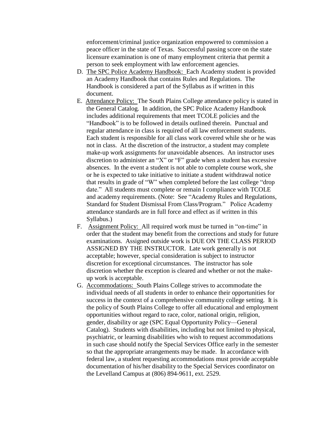enforcement/criminal justice organization empowered to commission a peace officer in the state of Texas. Successful passing score on the state licensure examination is one of many employment criteria that permit a person to seek employment with law enforcement agencies.

- D. The SPC Police Academy Handbook: Each Academy student is provided an Academy Handbook that contains Rules and Regulations. The Handbook is considered a part of the Syllabus as if written in this document.
- E. Attendance Policy: The South Plains College attendance policy is stated in the General Catalog. In addition, the SPC Police Academy Handbook includes additional requirements that meet TCOLE policies and the "Handbook" is to be followed in details outlined therein. Punctual and regular attendance in class is required of all law enforcement students. Each student is responsible for all class work covered while she or he was not in class. At the discretion of the instructor, a student may complete make-up work assignments for unavoidable absences. An instructor uses discretion to administer an "X" or "F" grade when a student has excessive absences. In the event a student is not able to complete course work, she or he is expected to take initiative to initiate a student withdrawal notice that results in grade of "W" when completed before the last college "drop date." All students must complete or remain I compliance with TCOLE and academy requirements. (Note: See "Academy Rules and Regulations, Standard for Student Dismissal From Class/Program." Police Academy attendance standards are in full force and effect as if written in this Syllabus.)
- F. Assignment Policy: All required work must be turned in "on-time" in order that the student may benefit from the corrections and study for future examinations. Assigned outside work is DUE ON THE CLASS PERIOD ASSIGNED BY THE INSTRUCTOR. Late work generally is not acceptable; however, special consideration is subject to instructor discretion for exceptional circumstances. The instructor has sole discretion whether the exception is cleared and whether or not the makeup work is acceptable.
- G. Accommodations: South Plains College strives to accommodate the individual needs of all students in order to enhance their opportunities for success in the context of a comprehensive community college setting. It is the policy of South Plains College to offer all educational and employment opportunities without regard to race, color, national origin, religion, gender, disability or age (SPC Equal Opportunity Policy—General Catalog). Students with disabilities, including but not limited to physical, psychiatric, or learning disabilities who wish to request accommodations in such case should notify the Special Services Office early in the semester so that the appropriate arrangements may be made. In accordance with federal law, a student requesting accommodations must provide acceptable documentation of his/her disability to the Special Services coordinator on the Levelland Campus at (806) 894-9611, ext. 2529.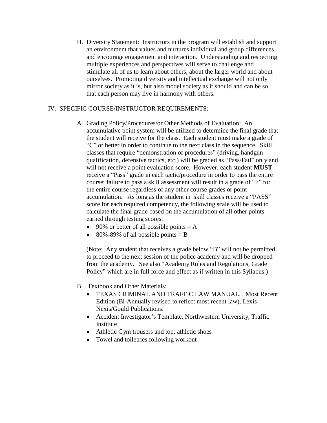H. Diversity Statement: Instructors in the program will establish and support an environment that values and nurtures individual and group differences and encourage engagement and interaction. Understanding and respecting multiple experiences and perspectives will serve to challenge and stimulate all of us to learn about others, about the larger world and about ourselves. Promoting diversity and intellectual exchange will not only mirror society as it is, but also model society as it should and can be so that each person may live in harmony with others.

### IV. SPECIFIC COURSE/INSTRUCTOR REQUIREMENTS:

- A. Grading Policy/Procedures/or Other Methods of Evaluation: An accumulative point system will be utilized to determine the final grade that the student will receive for the class. Each student must make a grade of "C" or better in order to continue to the next class in the sequence. Skill classes that require "demonstration of procedures" (driving, handgun qualification, defensive tactics, etc.) will be graded as "Pass/Fail" only and will not receive a point evaluation score. However, each student **MUST**  receive a "Pass" grade in each tactic/procedure in order to pass the entire course; failure to pass a skill assessment will result in a grade of "F" for the entire course regardless of any other course grades or point accumulation. As long as the student in skill classes receive a "PASS" score for each required competency, the following scale will be used to calculate the final grade based on the accumulation of all other points earned through testing scores:
	- 90% or better of all possible points  $= A$
	- 80%-89% of all possible points  $=$  B

(Note: Any student that receives a grade below "B" will not be permitted to proceed to the next session of the police academy and will be dropped from the academy. See also "Academy Rules and Regulations, Grade Policy" which are in full force and effect as if written in this Syllabus.)

- B. Textbook and Other Materials:
	- TEXAS CRIMINAL AND TRAFFIC LAW MANUAL, , Most Recent Edition (Bi-Annually revised to reflect most recent law), Lexis Nexis/Gould Publications.
	- Accident Investigator's Template, Northwestern University, Traffic Institute
	- Athletic Gym trousers and top; athletic shoes
	- Towel and toiletries following workout